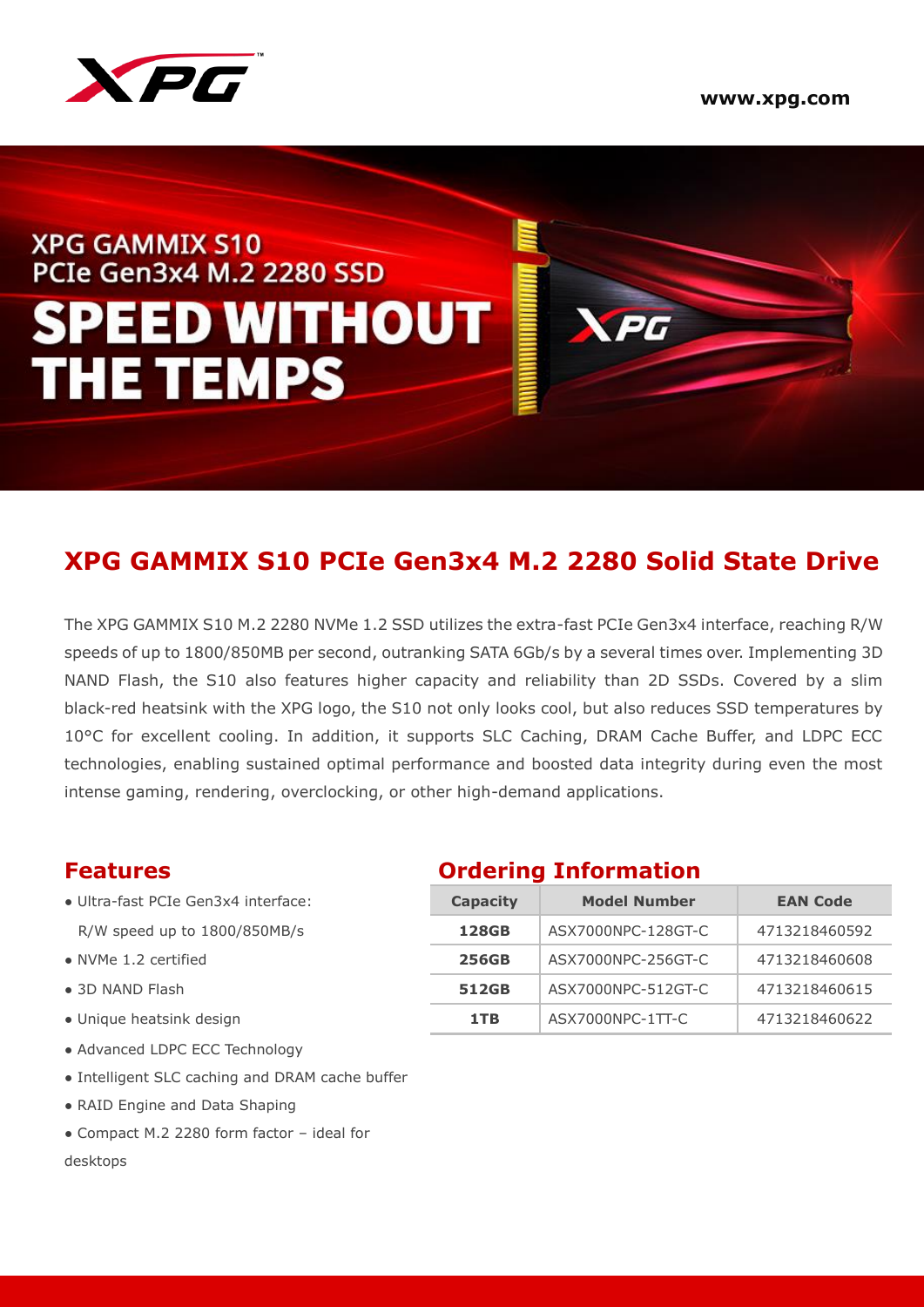

# **XPG GAMMIX S10 PCIe Gen3x4 M.2 2280 SSD SPEED WITHOUT THE TEMPS**

# **XPG GAMMIX S10 PCIe Gen3x4 M.2 2280 Solid State Drive**

The XPG GAMMIX S10 M.2 2280 NVMe 1.2 SSD utilizes the extra-fast PCIe Gen3x4 interface, reaching R/W speeds of up to 1800/850MB per second, outranking SATA 6Gb/s by a several times over. Implementing 3D NAND Flash, the S10 also features higher capacity and reliability than 2D SSDs. Covered by a slim black-red heatsink with the XPG logo, the S10 not only looks cool, but also reduces SSD temperatures by 10°C for excellent cooling. In addition, it supports SLC Caching, DRAM Cache Buffer, and LDPC ECC technologies, enabling sustained optimal performance and boosted data integrity during even the most intense gaming, rendering, overclocking, or other high-demand applications.

- $\bullet$  Ultra-fast PCIe Gen3x4 interface: R/W speed up to 1800/850MB/s
- $\bullet$  NVMe 1.2 certified
- $\bullet$  3D NAND Flash
- Unique heatsink design
- Advanced LDPC ECC Technology
- Intelligent SLC caching and DRAM cache buffer
- RAID Engine and Data Shaping
- Compact M.2 2280 form factor ideal for desktops

### **Features Ordering Information**

| Capacity     | <b>Model Number</b> | <b>EAN Code</b> |  |  |
|--------------|---------------------|-----------------|--|--|
| 128GB        | ASX7000NPC-128GT-C  | 4713218460592   |  |  |
| <b>256GB</b> | ASX7000NPC-256GT-C  | 4713218460608   |  |  |
| 512GB        | ASX7000NPC-512GT-C  | 4713218460615   |  |  |
| 1 T R        | ASX7000NPC-1TT-C    | 4713218460622   |  |  |